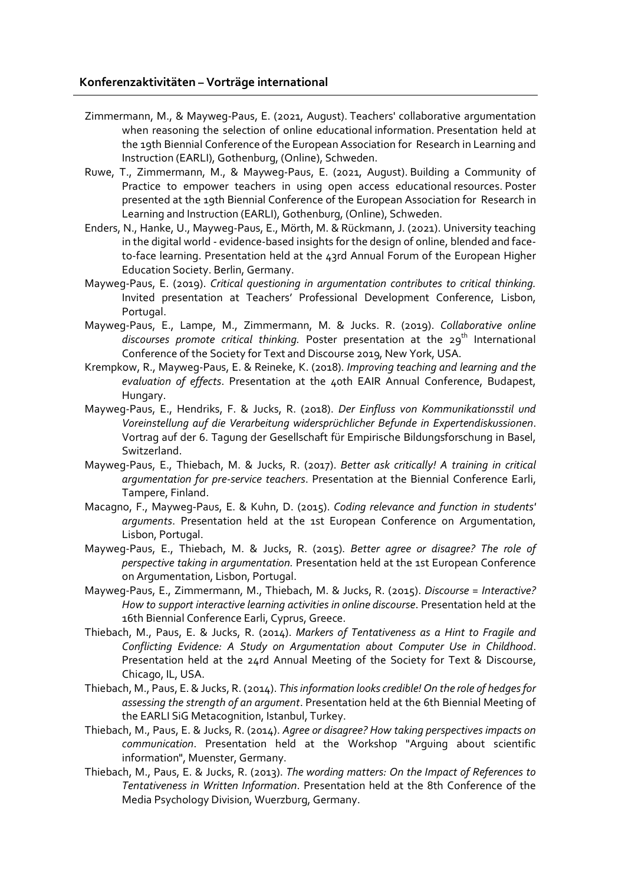## **Konferenzaktivitäten – Vorträge international**

- Zimmermann, M., & Mayweg-Paus, E. (2021, August). Teachers' collaborative argumentation when reasoning the selection of online educational information. Presentation held at the 19th Biennial Conference of the European Association for Research in Learning and Instruction (EARLI), Gothenburg, (Online), Schweden.
- Ruwe, T., Zimmermann, M., & Mayweg-Paus, E. (2021, August). Building a Community of Practice to empower teachers in using open access educational resources. Poster presented at the 19th Biennial Conference of the European Association for Research in Learning and Instruction (EARLI), Gothenburg, (Online), Schweden.
- Enders, N., Hanke, U., Mayweg-Paus, E., Mörth, M. & Rückmann, J. (2021). University teaching in the digital world - evidence-based insights for the design of online, blended and faceto-face learning. Presentation held at the 43rd Annual Forum of the European Higher Education Society. Berlin, Germany.
- Mayweg-Paus, E. (2019). *Critical questioning in argumentation contributes to critical thinking.* Invited presentation at Teachers' Professional Development Conference, Lisbon, Portugal.
- Mayweg-Paus, E., Lampe, M., Zimmermann, M. & Jucks. R. (2019). *Collaborative online discourses promote critical thinking.* Poster presentation at the 29<sup>th</sup> International Conference of the Society for Text and Discourse 2019, New York, USA.
- Krempkow, R., Mayweg-Paus, E. & Reineke, K. (2018). *Improving teaching and learning and the evaluation of effects*. Presentation at the 40th EAIR Annual Conference, Budapest, Hungary.
- Mayweg-Paus, E., Hendriks, F. & Jucks, R. (2018). *Der Einfluss von Kommunikationsstil und Voreinstellung auf die Verarbeitung widersprüchlicher Befunde in Expertendiskussionen*. Vortrag auf der 6. Tagung der Gesellschaft für Empirische Bildungsforschung in Basel, Switzerland.
- Mayweg-Paus, E., Thiebach, M. & Jucks, R. (2017). *Better ask critically! A training in critical argumentation for pre-service teachers*. Presentation at the Biennial Conference Earli, Tampere, Finland.
- Macagno, F., Mayweg-Paus, E. & Kuhn, D. (2015). *Coding relevance and function in students' arguments*. Presentation held at the 1st European Conference on Argumentation, Lisbon, Portugal.
- Mayweg-Paus, E., Thiebach, M. & Jucks, R. (2015). *Better agree or disagree? The role of perspective taking in argumentation.* Presentation held at the 1st European Conference on Argumentation, Lisbon, Portugal.
- Mayweg-Paus, E., Zimmermann, M., Thiebach, M. & Jucks, R. (2015). *Discourse = Interactive? How to support interactive learning activities in online discourse*. Presentation held at the 16th Biennial Conference Earli, Cyprus, Greece.
- Thiebach, M., Paus, E. & Jucks, R. (2014). *Markers of Tentativeness as a Hint to Fragile and Conflicting Evidence: A Study on Argumentation about Computer Use in Childhood*. Presentation held at the 24rd Annual Meeting of the Society for Text & Discourse, Chicago, IL, USA.
- Thiebach, M., Paus, E. & Jucks, R. (2014). *Thisinformation looks credible!On the role of hedgesfor assessing the strength of an argument*. Presentation held at the 6th Biennial Meeting of the EARLI SiG Metacognition, Istanbul, Turkey.
- Thiebach, M., Paus, E. & Jucks, R. (2014). *Agree or disagree? How taking perspectives impacts on communication*. Presentation held at the Workshop "Arguing about scientific information", Muenster, Germany.
- Thiebach, M., Paus, E. & Jucks, R. (2013). *The wording matters: On the Impact of References to Tentativeness in Written Information*. Presentation held at the 8th Conference of the Media Psychology Division, Wuerzburg, Germany.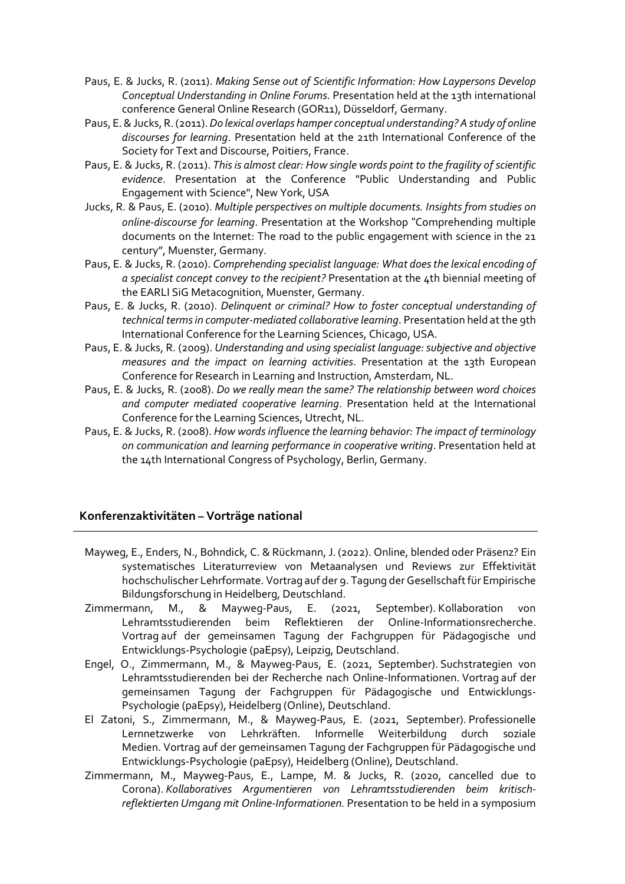- Paus, E. & Jucks, R. (2011). *Making Sense out of Scientific Information: How Laypersons Develop Conceptual Understanding in Online Forums*. Presentation held at the 13th international conference General Online Research (GOR11), Düsseldorf, Germany.
- Paus, E.&Jucks, R.(2011).*Do lexical overlaps hamper conceptual understanding?Astudy of online discourses for learning*. Presentation held at the 21th International Conference of the Society for Text and Discourse, Poitiers, France.
- Paus, E. & Jucks, R. (2011). *Thisis almost clear: How single words point to the fragility of scientific evidence*. Presentation at the Conference "Public Understanding and Public Engagement with Science", New York, USA
- Jucks, R. & Paus, E. (2010). *Multiple perspectives on multiple documents. Insights from studies on online-discourse for learning*. Presentation at the Workshop !Comprehending multiple documents on the Internet: The road to the public engagement with science in the 21 century", Muenster, Germany.
- Paus, E. & Jucks, R. (2010). *Comprehending specialist language: What doesthe lexical encoding of a specialist concept convey to the recipient?* Presentation at the 4th biennial meeting of the EARLI SiG Metacognition, Muenster, Germany.
- Paus, E. & Jucks, R. (2010). *Delinquent or criminal? How to foster conceptual understanding of technical termsin computer-mediated collaborative learning*. Presentation held at the 9th International Conference for the Learning Sciences, Chicago, USA.
- Paus, E. & Jucks, R. (2009). *Understanding and using specialist language:subjective and objective measures and the impact on learning activities*. Presentation at the 13th European Conference for Research in Learning and Instruction, Amsterdam, NL.
- Paus, E. & Jucks, R. (2008). *Do we really mean the same? The relationship between word choices and computer mediated cooperative learning*. Presentation held at the International Conference for the Learning Sciences, Utrecht, NL.
- Paus, E. & Jucks, R. (2008). *How wordsinfluence the learning behavior: The impact of terminology on communication and learning performance in cooperative writing*. Presentation held at the 14th International Congress of Psychology, Berlin, Germany.

## **Konferenzaktivitäten – Vorträge national**

- Mayweg, E., Enders, N., Bohndick, C. & Rückmann, J. (2022). Online, blended oder Präsenz? Ein systematisches Literaturreview von Metaanalysen und Reviews zur Effektivität hochschulischer Lehrformate. Vortrag auf der 9. Tagung der Gesellschaft für Empirische Bildungsforschung in Heidelberg, Deutschland.
- Zimmermann, M., & Mayweg-Paus, E. (2021, September). Kollaboration von Lehramtsstudierenden beim Reflektieren der Online-Informationsrecherche. Vortrag auf der gemeinsamen Tagung der Fachgruppen für Pädagogische und Entwicklungs-Psychologie (paEpsy), Leipzig, Deutschland.
- Engel, O., Zimmermann, M., & Mayweg-Paus, E. (2021, September). Suchstrategien von Lehramtsstudierenden bei der Recherche nach Online-Informationen. Vortrag auf der gemeinsamen Tagung der Fachgruppen für Pädagogische und Entwicklungs-Psychologie (paEpsy), Heidelberg (Online), Deutschland.
- El Zatoni, S., Zimmermann, M., & Mayweg-Paus, E. (2021, September). Professionelle Lernnetzwerke von Lehrkräften. Informelle Weiterbildung durch soziale Medien. Vortrag auf der gemeinsamen Tagung der Fachgruppen für Pädagogische und Entwicklungs-Psychologie (paEpsy), Heidelberg (Online), Deutschland.
- Zimmermann, M., Mayweg-Paus, E., Lampe, M. & Jucks, R. (2020, cancelled due to Corona). *Kollaboratives Argumentieren von Lehramtsstudierenden beim kritischreflektierten Umgang mit Online-Informationen.* Presentation to be held in a symposium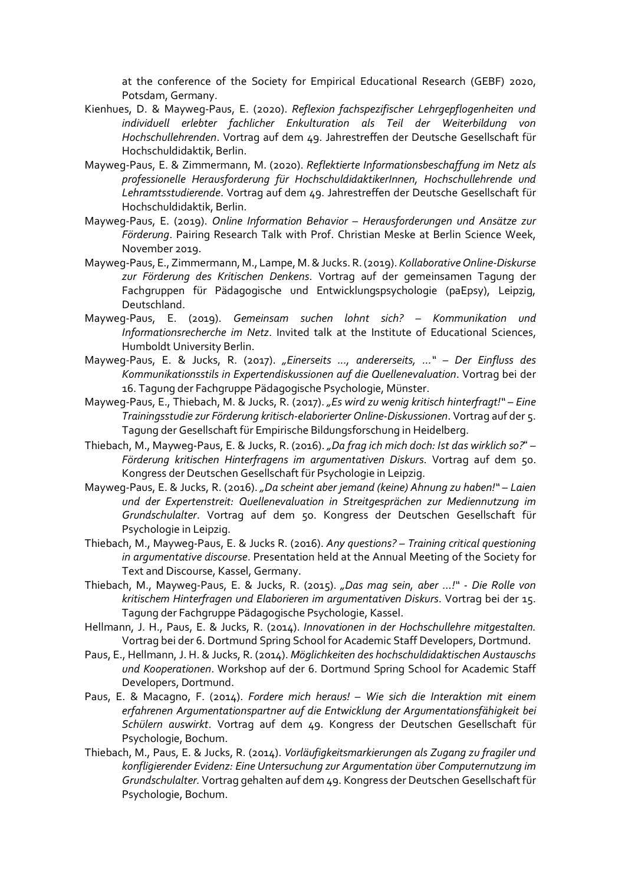at the conference of the Society for Empirical Educational Research (GEBF) 2020, Potsdam, Germany.

- Kienhues, D. & Mayweg-Paus, E. (2020). *Reflexion fachspezifischer Lehrgepflogenheiten und individuell erlebter fachlicher Enkulturation als Teil der Weiterbildung von Hochschullehrenden*. Vortrag auf dem 49. Jahrestreffen der Deutsche Gesellschaft für Hochschuldidaktik, Berlin.
- Mayweg-Paus, E. & Zimmermann, M. (2020). *Reflektierte Informationsbeschaffung im Netz als professionelle Herausforderung für HochschuldidaktikerInnen, Hochschullehrende und Lehramtsstudierende*. Vortrag auf dem 49. Jahrestreffen der Deutsche Gesellschaft für Hochschuldidaktik, Berlin.
- Mayweg-Paus, E. (2019). *Online Information Behavior – Herausforderungen und Ansätze zur Förderung*. Pairing Research Talk with Prof. Christian Meske at Berlin Science Week, November 2019.
- Mayweg-Paus, E., Zimmermann, M., Lampe, M.&Jucks. R.(2019). *KollaborativeOnline-Diskurse zur Förderung des Kritischen Denkens*. Vortrag auf der gemeinsamen Tagung der Fachgruppen für Pädagogische und Entwicklungspsychologie (paEpsy), Leipzig, Deutschland.
- Mayweg-Paus, E. (2019). *Gemeinsam suchen lohnt sich? – Kommunikation und Informationsrecherche im Netz*. Invited talk at the Institute of Educational Sciences, Humboldt University Berlin.
- Mayweg-Paus, E. & Jucks, R. (2017). *"Einerseits ..., andererseits, ..." – Der Einfluss des Kommunikationsstils in Expertendiskussionen auf die Quellenevaluation*. Vortrag bei der 16. Tagung der Fachgruppe Pädagogische Psychologie, Münster.
- Mayweg-Paus, E., Thiebach, M. & Jucks, R. (2017). *"Es wird zu wenig kritisch hinterfragt!" – Eine Trainingsstudie zur Förderung kritisch-elaborierter Online-Diskussionen*. Vortrag auf der 5. Tagung der Gesellschaft für Empirische Bildungsforschung in Heidelberg.
- Thiebach, M., Mayweg-Paus, E. & Jucks, R. (2016). *"Da frag ich mich doch: Ist das wirklich so?*! *– Förderung kritischen Hinterfragens im argumentativen Diskurs*. Vortrag auf dem 50. Kongress der Deutschen Gesellschaft für Psychologie in Leipzig.
- Mayweg-Paus, E. & Jucks, R. (2016). *"Da scheint aber jemand (keine) Ahnung zu haben!" – Laien und der Expertenstreit: Quellenevaluation in Streitgesprächen zur Mediennutzung im Grundschulalter*. Vortrag auf dem 50. Kongress der Deutschen Gesellschaft für Psychologie in Leipzig.
- Thiebach, M., Mayweg-Paus, E. & Jucks R. (2016). *Any questions? – Training critical questioning in argumentative discourse*. Presentation held at the Annual Meeting of the Society for Text and Discourse, Kassel, Germany.
- Thiebach, M., Mayweg-Paus, E. & Jucks, R. (2015). *"Das mag sein, aber …!" - Die Rolle von kritischem Hinterfragen und Elaborieren im argumentativen Diskurs*. Vortrag bei der 15. Tagung der Fachgruppe Pädagogische Psychologie, Kassel.
- Hellmann, J. H., Paus, E. & Jucks, R. (2014). *Innovationen in der Hochschullehre mitgestalten.* Vortrag bei der 6. Dortmund Spring School for Academic Staff Developers, Dortmund.
- Paus, E., Hellmann, J. H. & Jucks, R. (2014). *Möglichkeiten des hochschuldidaktischen Austauschs und Kooperationen*. Workshop auf der 6. Dortmund Spring School for Academic Staff Developers, Dortmund.
- Paus, E. & Macagno, F. (2014). *Fordere mich heraus! – Wie sich die Interaktion mit einem erfahrenen Argumentationspartner auf die Entwicklung der Argumentationsfähigkeit bei Schülern auswirkt*. Vortrag auf dem 49. Kongress der Deutschen Gesellschaft für Psychologie, Bochum.
- Thiebach, M., Paus, E. & Jucks, R. (2014). *Vorläufigkeitsmarkierungen als Zugang zu fragiler und konfligierender Evidenz: Eine Untersuchung zur Argumentation über Computernutzung im Grundschulalter.* Vortrag gehalten auf dem 49. Kongress der Deutschen Gesellschaft für Psychologie, Bochum.